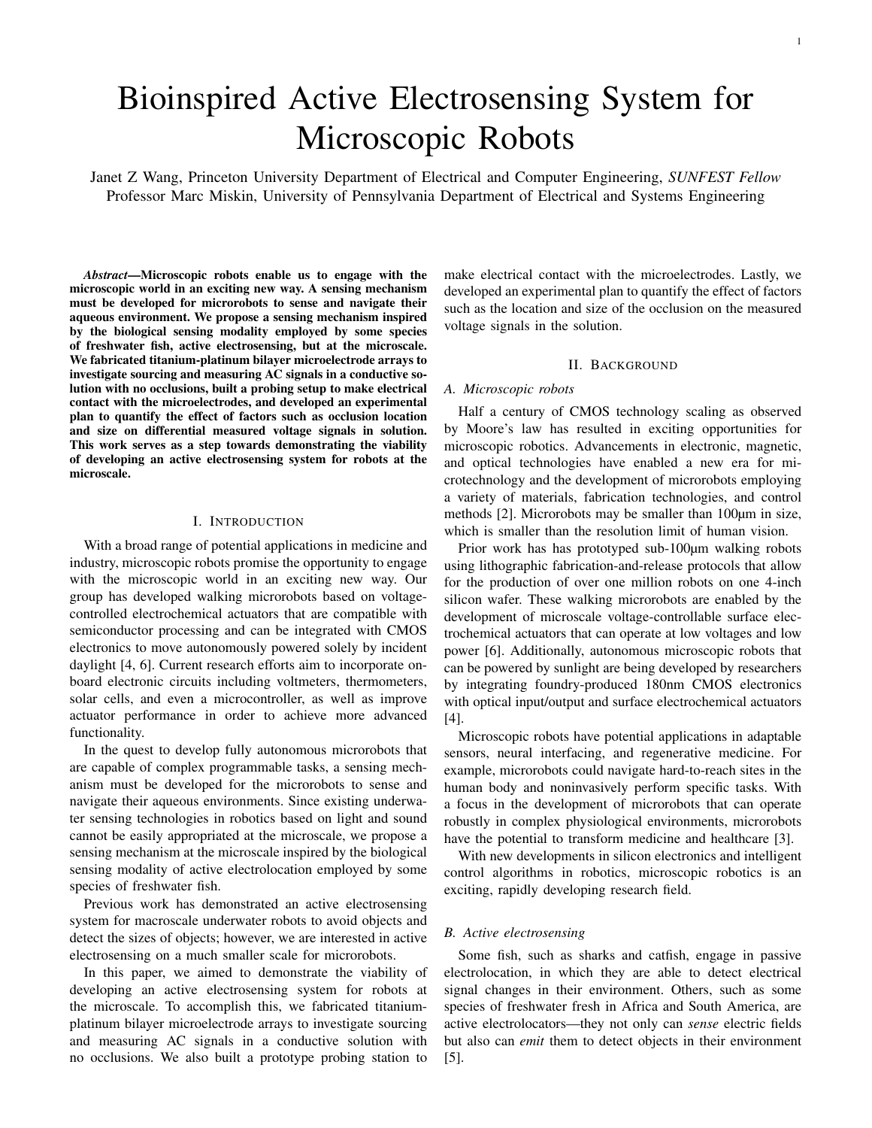# Bioinspired Active Electrosensing System for Microscopic Robots

Janet Z Wang, Princeton University Department of Electrical and Computer Engineering, *SUNFEST Fellow* Professor Marc Miskin, University of Pennsylvania Department of Electrical and Systems Engineering

*Abstract*—Microscopic robots enable us to engage with the microscopic world in an exciting new way. A sensing mechanism must be developed for microrobots to sense and navigate their aqueous environment. We propose a sensing mechanism inspired by the biological sensing modality employed by some species of freshwater fish, active electrosensing, but at the microscale. We fabricated titanium-platinum bilayer microelectrode arrays to investigate sourcing and measuring AC signals in a conductive solution with no occlusions, built a probing setup to make electrical contact with the microelectrodes, and developed an experimental plan to quantify the effect of factors such as occlusion location and size on differential measured voltage signals in solution. This work serves as a step towards demonstrating the viability of developing an active electrosensing system for robots at the microscale.

#### I. INTRODUCTION

With a broad range of potential applications in medicine and industry, microscopic robots promise the opportunity to engage with the microscopic world in an exciting new way. Our group has developed walking microrobots based on voltagecontrolled electrochemical actuators that are compatible with semiconductor processing and can be integrated with CMOS electronics to move autonomously powered solely by incident daylight [4, 6]. Current research efforts aim to incorporate onboard electronic circuits including voltmeters, thermometers, solar cells, and even a microcontroller, as well as improve actuator performance in order to achieve more advanced functionality.

In the quest to develop fully autonomous microrobots that are capable of complex programmable tasks, a sensing mechanism must be developed for the microrobots to sense and navigate their aqueous environments. Since existing underwater sensing technologies in robotics based on light and sound cannot be easily appropriated at the microscale, we propose a sensing mechanism at the microscale inspired by the biological sensing modality of active electrolocation employed by some species of freshwater fish.

Previous work has demonstrated an active electrosensing system for macroscale underwater robots to avoid objects and detect the sizes of objects; however, we are interested in active electrosensing on a much smaller scale for microrobots.

In this paper, we aimed to demonstrate the viability of developing an active electrosensing system for robots at the microscale. To accomplish this, we fabricated titaniumplatinum bilayer microelectrode arrays to investigate sourcing and measuring AC signals in a conductive solution with no occlusions. We also built a prototype probing station to make electrical contact with the microelectrodes. Lastly, we developed an experimental plan to quantify the effect of factors such as the location and size of the occlusion on the measured voltage signals in the solution.

#### II. BACKGROUND

#### *A. Microscopic robots*

Half a century of CMOS technology scaling as observed by Moore's law has resulted in exciting opportunities for microscopic robotics. Advancements in electronic, magnetic, and optical technologies have enabled a new era for microtechnology and the development of microrobots employing a variety of materials, fabrication technologies, and control methods [2]. Microrobots may be smaller than 100µm in size, which is smaller than the resolution limit of human vision.

Prior work has has prototyped sub-100µm walking robots using lithographic fabrication-and-release protocols that allow for the production of over one million robots on one 4-inch silicon wafer. These walking microrobots are enabled by the development of microscale voltage-controllable surface electrochemical actuators that can operate at low voltages and low power [6]. Additionally, autonomous microscopic robots that can be powered by sunlight are being developed by researchers by integrating foundry-produced 180nm CMOS electronics with optical input/output and surface electrochemical actuators [4].

Microscopic robots have potential applications in adaptable sensors, neural interfacing, and regenerative medicine. For example, microrobots could navigate hard-to-reach sites in the human body and noninvasively perform specific tasks. With a focus in the development of microrobots that can operate robustly in complex physiological environments, microrobots have the potential to transform medicine and healthcare [3].

With new developments in silicon electronics and intelligent control algorithms in robotics, microscopic robotics is an exciting, rapidly developing research field.

### *B. Active electrosensing*

Some fish, such as sharks and catfish, engage in passive electrolocation, in which they are able to detect electrical signal changes in their environment. Others, such as some species of freshwater fresh in Africa and South America, are active electrolocators—they not only can *sense* electric fields but also can *emit* them to detect objects in their environment [5].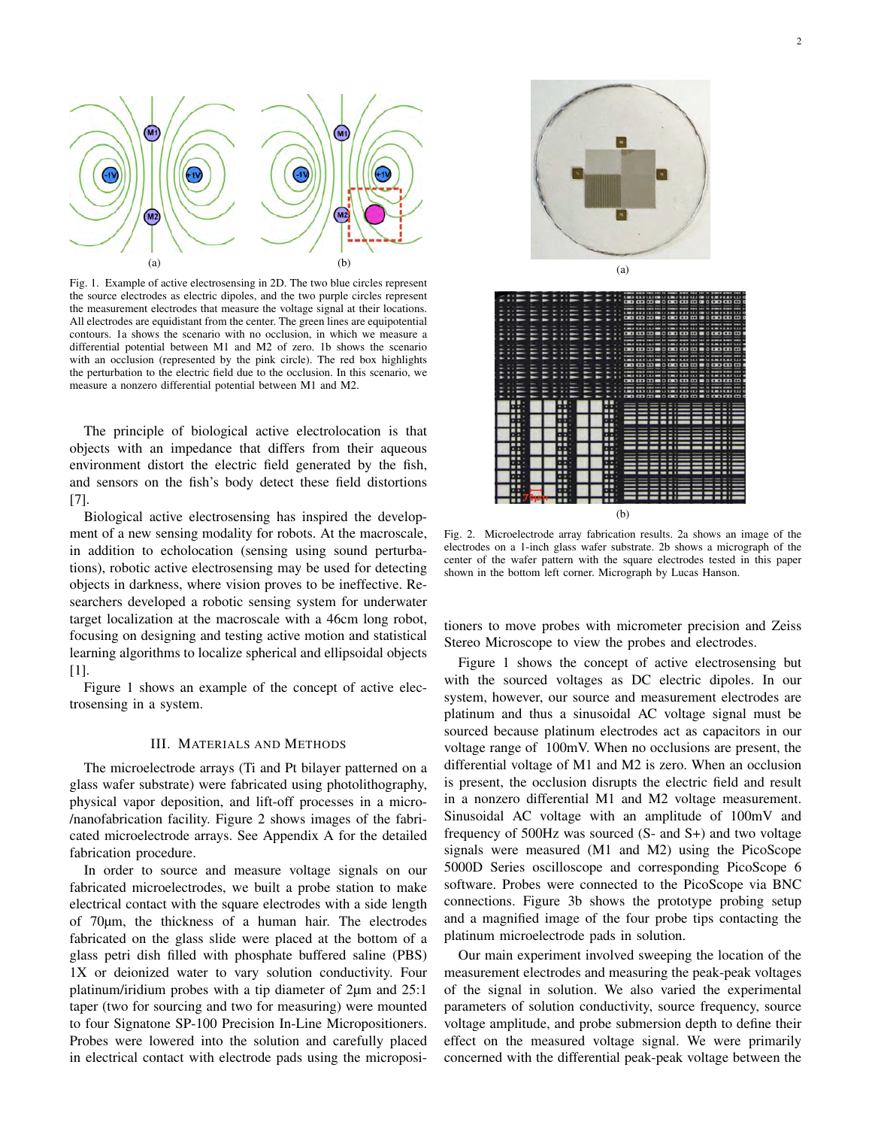

Fig. 1. Example of active electrosensing in 2D. The two blue circles represent the source electrodes as electric dipoles, and the two purple circles represent the measurement electrodes that measure the voltage signal at their locations. All electrodes are equidistant from the center. The green lines are equipotential contours. 1a shows the scenario with no occlusion, in which we measure a differential potential between M1 and M2 of zero. 1b shows the scenario with an occlusion (represented by the pink circle). The red box highlights the perturbation to the electric field due to the occlusion. In this scenario, we measure a nonzero differential potential between M1 and M2.

The principle of biological active electrolocation is that objects with an impedance that differs from their aqueous environment distort the electric field generated by the fish, and sensors on the fish's body detect these field distortions [7].

Biological active electrosensing has inspired the development of a new sensing modality for robots. At the macroscale, in addition to echolocation (sensing using sound perturbations), robotic active electrosensing may be used for detecting objects in darkness, where vision proves to be ineffective. Researchers developed a robotic sensing system for underwater target localization at the macroscale with a 46cm long robot, focusing on designing and testing active motion and statistical learning algorithms to localize spherical and ellipsoidal objects [1].

Figure 1 shows an example of the concept of active electrosensing in a system.

#### III. MATERIALS AND METHODS

The microelectrode arrays (Ti and Pt bilayer patterned on a glass wafer substrate) were fabricated using photolithography, physical vapor deposition, and lift-off processes in a micro- /nanofabrication facility. Figure 2 shows images of the fabricated microelectrode arrays. See Appendix A for the detailed fabrication procedure.

In order to source and measure voltage signals on our fabricated microelectrodes, we built a probe station to make electrical contact with the square electrodes with a side length of 70µm, the thickness of a human hair. The electrodes fabricated on the glass slide were placed at the bottom of a glass petri dish filled with phosphate buffered saline (PBS) 1X or deionized water to vary solution conductivity. Four platinum/iridium probes with a tip diameter of 2µm and 25:1 taper (two for sourcing and two for measuring) were mounted to four Signatone SP-100 Precision In-Line Micropositioners. Probes were lowered into the solution and carefully placed in electrical contact with electrode pads using the microposi-



Ħ ē A  $\begin{array}{c} 0.01 & 0.01 & 0.01 & 0.01 \\ 0.00 & 0.01 & 0.01 & 0.01 \\ \end{array}$ ≣ e <u>www.</u> **BEATHER** 

(b)

Fig. 2. Microelectrode array fabrication results. 2a shows an image of the electrodes on a 1-inch glass wafer substrate. 2b shows a micrograph of the center of the wafer pattern with the square electrodes tested in this paper shown in the bottom left corner. Micrograph by Lucas Hanson.

tioners to move probes with micrometer precision and Zeiss Stereo Microscope to view the probes and electrodes.

Figure 1 shows the concept of active electrosensing but with the sourced voltages as DC electric dipoles. In our system, however, our source and measurement electrodes are platinum and thus a sinusoidal AC voltage signal must be sourced because platinum electrodes act as capacitors in our voltage range of 100mV. When no occlusions are present, the differential voltage of M1 and M2 is zero. When an occlusion is present, the occlusion disrupts the electric field and result in a nonzero differential M1 and M2 voltage measurement. Sinusoidal AC voltage with an amplitude of 100mV and frequency of 500Hz was sourced (S- and S+) and two voltage signals were measured (M1 and M2) using the PicoScope 5000D Series oscilloscope and corresponding PicoScope 6 software. Probes were connected to the PicoScope via BNC connections. Figure 3b shows the prototype probing setup and a magnified image of the four probe tips contacting the platinum microelectrode pads in solution.

Our main experiment involved sweeping the location of the measurement electrodes and measuring the peak-peak voltages of the signal in solution. We also varied the experimental parameters of solution conductivity, source frequency, source voltage amplitude, and probe submersion depth to define their effect on the measured voltage signal. We were primarily concerned with the differential peak-peak voltage between the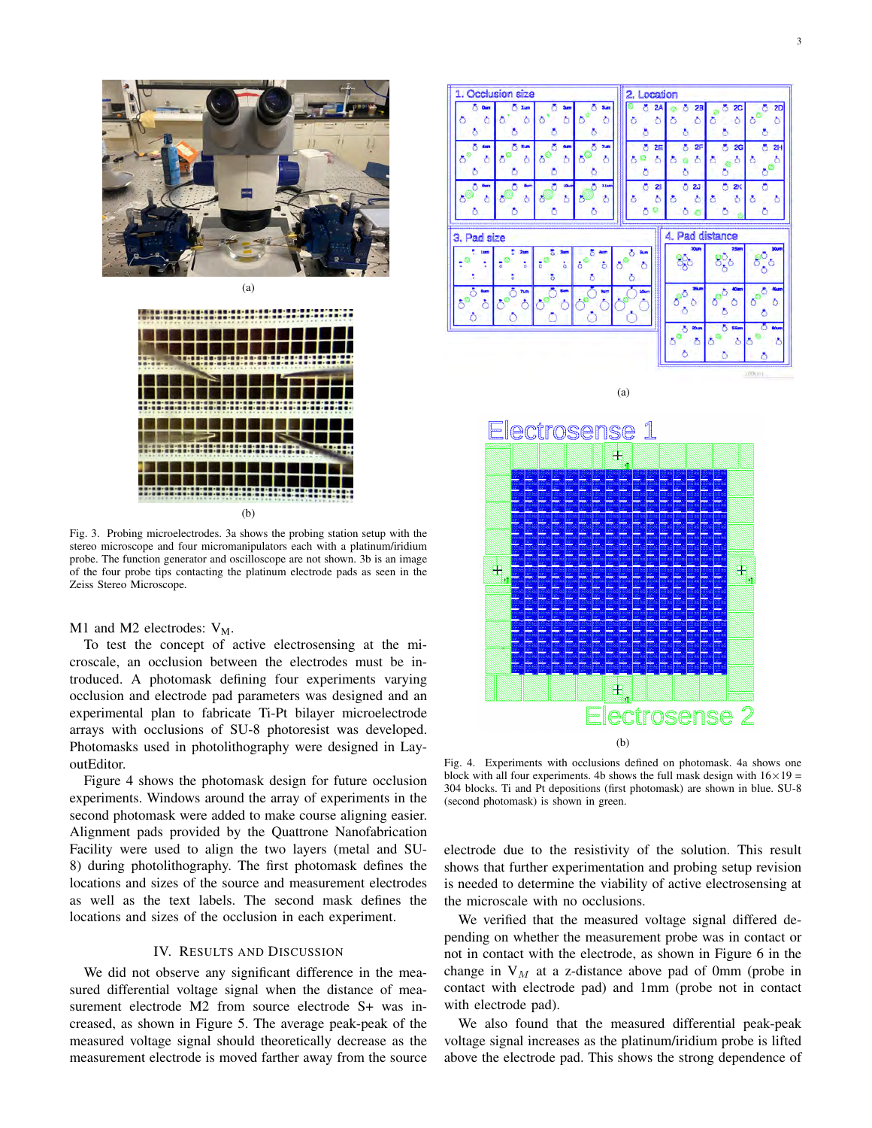

(a)



(b)

Fig. 3. Probing microelectrodes. 3a shows the probing station setup with the stereo microscope and four micromanipulators each with a platinum/iridium probe. The function generator and oscilloscope are not shown. 3b is an image of the four probe tips contacting the platinum electrode pads as seen in the Zeiss Stereo Microscope.

M1 and M2 electrodes:  $V_M$ .

To test the concept of active electrosensing at the microscale, an occlusion between the electrodes must be introduced. A photomask defining four experiments varying occlusion and electrode pad parameters was designed and an experimental plan to fabricate Ti-Pt bilayer microelectrode arrays with occlusions of SU-8 photoresist was developed. Photomasks used in photolithography were designed in LayoutEditor.

Figure 4 shows the photomask design for future occlusion experiments. Windows around the array of experiments in the second photomask were added to make course aligning easier. Alignment pads provided by the Quattrone Nanofabrication Facility were used to align the two layers (metal and SU-8) during photolithography. The first photomask defines the locations and sizes of the source and measurement electrodes as well as the text labels. The second mask defines the locations and sizes of the occlusion in each experiment.

#### IV. RESULTS AND DISCUSSION

We did not observe any significant difference in the measured differential voltage signal when the distance of measurement electrode M2 from source electrode S+ was increased, as shown in Figure 5. The average peak-peak of the measured voltage signal should theoretically decrease as the measurement electrode is moved farther away from the source



(a)



Fig. 4. Experiments with occlusions defined on photomask. 4a shows one block with all four experiments. 4b shows the full mask design with  $16 \times 19 =$ 304 blocks. Ti and Pt depositions (first photomask) are shown in blue. SU-8 (second photomask) is shown in green.

electrode due to the resistivity of the solution. This result shows that further experimentation and probing setup revision is needed to determine the viability of active electrosensing at the microscale with no occlusions.

We verified that the measured voltage signal differed depending on whether the measurement probe was in contact or not in contact with the electrode, as shown in Figure 6 in the change in  $V_M$  at a z-distance above pad of 0mm (probe in contact with electrode pad) and 1mm (probe not in contact with electrode pad).

We also found that the measured differential peak-peak voltage signal increases as the platinum/iridium probe is lifted above the electrode pad. This shows the strong dependence of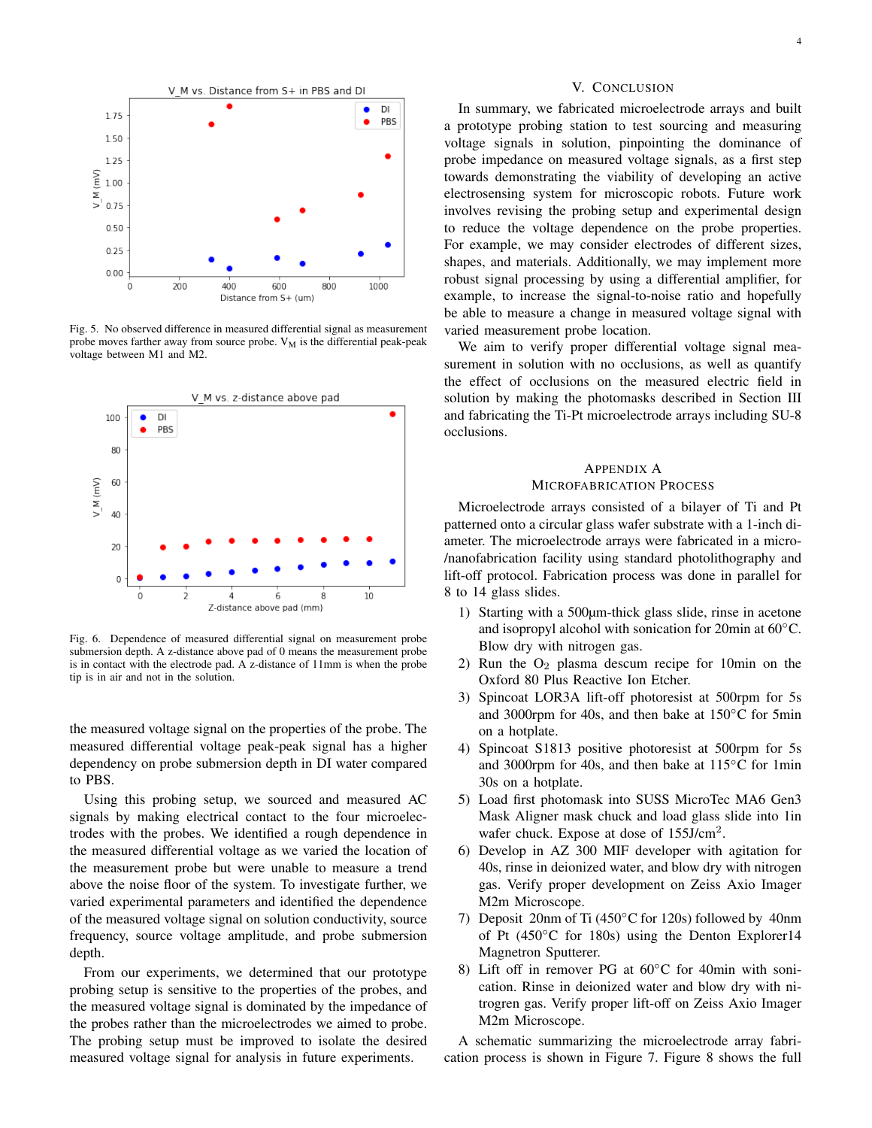

Fig. 5. No observed difference in measured differential signal as measurement probe moves farther away from source probe.  $V_M$  is the differential peak-peak voltage between M1 and M2.



Fig. 6. Dependence of measured differential signal on measurement probe submersion depth. A z-distance above pad of 0 means the measurement probe is in contact with the electrode pad. A z-distance of 11mm is when the probe tip is in air and not in the solution.

the measured voltage signal on the properties of the probe. The measured differential voltage peak-peak signal has a higher dependency on probe submersion depth in DI water compared to PBS.

Using this probing setup, we sourced and measured AC signals by making electrical contact to the four microelectrodes with the probes. We identified a rough dependence in the measured differential voltage as we varied the location of the measurement probe but were unable to measure a trend above the noise floor of the system. To investigate further, we varied experimental parameters and identified the dependence of the measured voltage signal on solution conductivity, source frequency, source voltage amplitude, and probe submersion depth.

From our experiments, we determined that our prototype probing setup is sensitive to the properties of the probes, and the measured voltage signal is dominated by the impedance of the probes rather than the microelectrodes we aimed to probe. The probing setup must be improved to isolate the desired measured voltage signal for analysis in future experiments.

#### V. CONCLUSION

In summary, we fabricated microelectrode arrays and built a prototype probing station to test sourcing and measuring voltage signals in solution, pinpointing the dominance of probe impedance on measured voltage signals, as a first step towards demonstrating the viability of developing an active electrosensing system for microscopic robots. Future work involves revising the probing setup and experimental design to reduce the voltage dependence on the probe properties. For example, we may consider electrodes of different sizes, shapes, and materials. Additionally, we may implement more robust signal processing by using a differential amplifier, for example, to increase the signal-to-noise ratio and hopefully be able to measure a change in measured voltage signal with varied measurement probe location.

We aim to verify proper differential voltage signal measurement in solution with no occlusions, as well as quantify the effect of occlusions on the measured electric field in solution by making the photomasks described in Section III and fabricating the Ti-Pt microelectrode arrays including SU-8 occlusions.

## APPENDIX A MICROFABRICATION PROCESS

Microelectrode arrays consisted of a bilayer of Ti and Pt patterned onto a circular glass wafer substrate with a 1-inch diameter. The microelectrode arrays were fabricated in a micro- /nanofabrication facility using standard photolithography and lift-off protocol. Fabrication process was done in parallel for 8 to 14 glass slides.

- 1) Starting with a 500µm-thick glass slide, rinse in acetone and isopropyl alcohol with sonication for 20min at 60◦C. Blow dry with nitrogen gas.
- 2) Run the  $O_2$  plasma descum recipe for 10min on the Oxford 80 Plus Reactive Ion Etcher.
- 3) Spincoat LOR3A lift-off photoresist at 500rpm for 5s and 3000rpm for 40s, and then bake at  $150^{\circ}$ C for 5min on a hotplate.
- 4) Spincoat S1813 positive photoresist at 500rpm for 5s and 3000rpm for 40s, and then bake at 115◦C for 1min 30s on a hotplate.
- 5) Load first photomask into SUSS MicroTec MA6 Gen3 Mask Aligner mask chuck and load glass slide into 1in wafer chuck. Expose at dose of 155J/cm<sup>2</sup>.
- 6) Develop in AZ 300 MIF developer with agitation for 40s, rinse in deionized water, and blow dry with nitrogen gas. Verify proper development on Zeiss Axio Imager M2m Microscope.
- 7) Deposit 20nm of Ti (450◦C for 120s) followed by 40nm of Pt (450◦C for 180s) using the Denton Explorer14 Magnetron Sputterer.
- 8) Lift off in remover PG at 60℃ for 40min with sonication. Rinse in deionized water and blow dry with nitrogren gas. Verify proper lift-off on Zeiss Axio Imager M2m Microscope.

A schematic summarizing the microelectrode array fabrication process is shown in Figure 7. Figure 8 shows the full